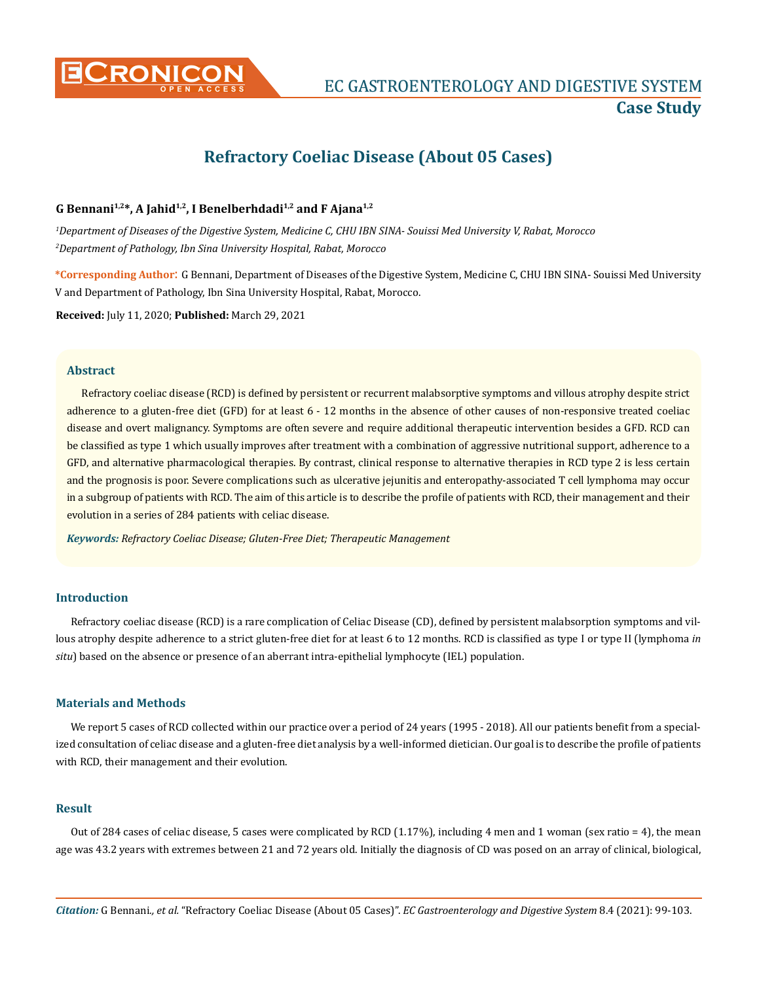

# **Refractory Coeliac Disease (About 05 Cases)**

# **G Bennani1,2\*, A Jahid1,2, I Benelberhdadi1,2 and F Ajana1,2**

*1 Department of Diseases of the Digestive System, Medicine C, CHU IBN SINA- Souissi Med University V, Rabat, Morocco 2 Department of Pathology, Ibn Sina University Hospital, Rabat, Morocco*

**\*Corresponding Author**: G Bennani, Department of Diseases of the Digestive System, Medicine C, CHU IBN SINA- Souissi Med University V and Department of Pathology, Ibn Sina University Hospital, Rabat, Morocco.

**Received:** July 11, 2020; **Published:** March 29, 2021

#### **Abstract**

Refractory coeliac disease (RCD) is defined by persistent or recurrent malabsorptive symptoms and villous atrophy despite strict adherence to a gluten-free diet (GFD) for at least 6 - 12 months in the absence of other causes of non-responsive treated coeliac disease and overt malignancy. Symptoms are often severe and require additional therapeutic intervention besides a GFD. RCD can be classified as type 1 which usually improves after treatment with a combination of aggressive nutritional support, adherence to a GFD, and alternative pharmacological therapies. By contrast, clinical response to alternative therapies in RCD type 2 is less certain and the prognosis is poor. Severe complications such as ulcerative jejunitis and enteropathy-associated T cell lymphoma may occur in a subgroup of patients with RCD. The aim of this article is to describe the profile of patients with RCD, their management and their evolution in a series of 284 patients with celiac disease.

*Keywords: Refractory Coeliac Disease; Gluten-Free Diet; Therapeutic Management*

## **Introduction**

Refractory coeliac disease (RCD) is a rare complication of Celiac Disease (CD), defined by persistent malabsorption symptoms and villous atrophy despite adherence to a strict gluten-free diet for at least 6 to 12 months. RCD is classified as type I or type II (lymphoma *in situ*) based on the absence or presence of an aberrant intra-epithelial lymphocyte (IEL) population.

#### **Materials and Methods**

We report 5 cases of RCD collected within our practice over a period of 24 years (1995 - 2018). All our patients benefit from a specialized consultation of celiac disease and a gluten-free diet analysis by a well-informed dietician. Our goal is to describe the profile of patients with RCD, their management and their evolution.

#### **Result**

Out of 284 cases of celiac disease, 5 cases were complicated by RCD  $(1.17\%)$ , including 4 men and 1 woman (sex ratio = 4), the mean age was 43.2 years with extremes between 21 and 72 years old. Initially the diagnosis of CD was posed on an array of clinical, biological,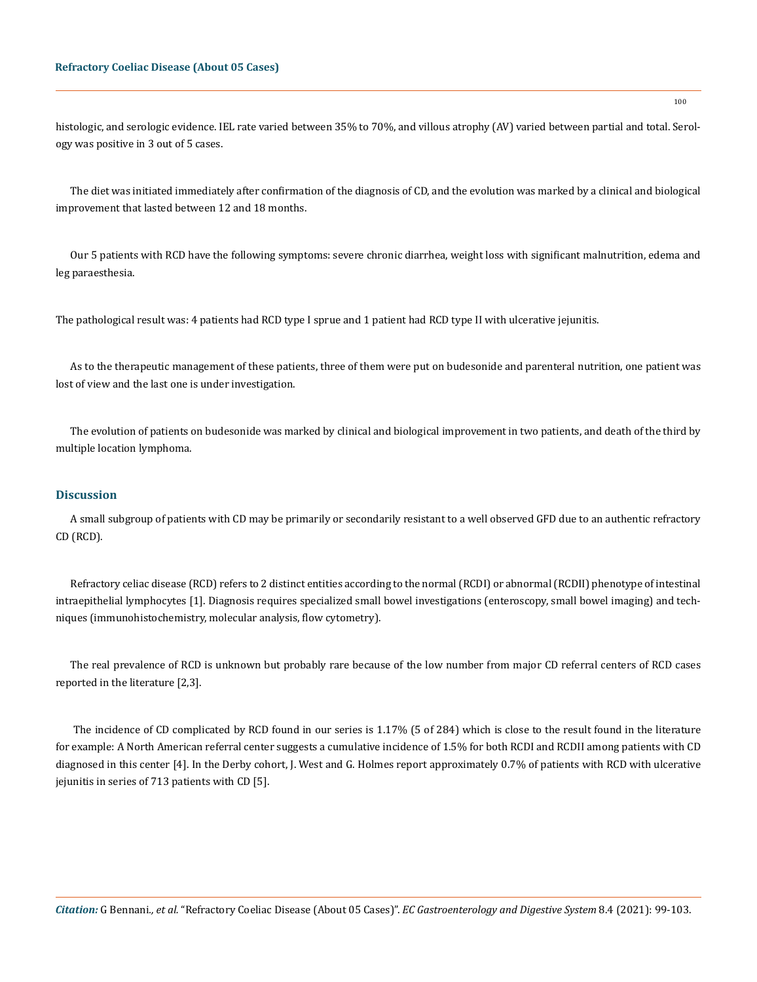histologic, and serologic evidence. IEL rate varied between 35% to 70%, and villous atrophy (AV) varied between partial and total. Serology was positive in 3 out of 5 cases.

The diet was initiated immediately after confirmation of the diagnosis of CD, and the evolution was marked by a clinical and biological improvement that lasted between 12 and 18 months.

Our 5 patients with RCD have the following symptoms: severe chronic diarrhea, weight loss with significant malnutrition, edema and leg paraesthesia.

The pathological result was: 4 patients had RCD type I sprue and 1 patient had RCD type II with ulcerative jejunitis.

As to the therapeutic management of these patients, three of them were put on budesonide and parenteral nutrition, one patient was lost of view and the last one is under investigation.

The evolution of patients on budesonide was marked by clinical and biological improvement in two patients, and death of the third by multiple location lymphoma.

## **Discussion**

A small subgroup of patients with CD may be primarily or secondarily resistant to a well observed GFD due to an authentic refractory CD (RCD).

Refractory celiac disease (RCD) refers to 2 distinct entities according to the normal (RCDI) or abnormal (RCDII) phenotype of intestinal intraepithelial lymphocytes [1]. Diagnosis requires specialized small bowel investigations (enteroscopy, small bowel imaging) and techniques (immunohistochemistry, molecular analysis, flow cytometry).

The real prevalence of RCD is unknown but probably rare because of the low number from major CD referral centers of RCD cases reported in the literature [2,3].

 The incidence of CD complicated by RCD found in our series is 1.17% (5 of 284) which is close to the result found in the literature for example: A North American referral center suggests a cumulative incidence of 1.5% for both RCDI and RCDII among patients with CD diagnosed in this center [4]. In the Derby cohort, J. West and G. Holmes report approximately 0.7% of patients with RCD with ulcerative jejunitis in series of 713 patients with CD [5].

100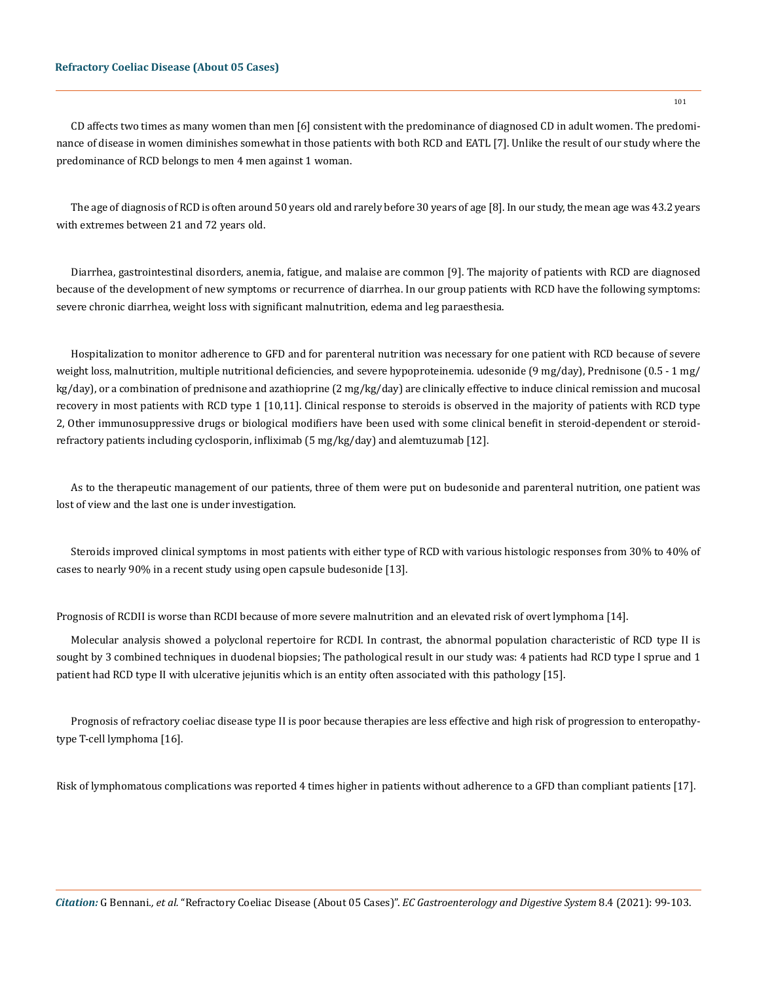#### **Refractory Coeliac Disease (About 05 Cases)**

CD affects two times as many women than men [6] consistent with the predominance of diagnosed CD in adult women. The predominance of disease in women diminishes somewhat in those patients with both RCD and EATL [7]. Unlike the result of our study where the predominance of RCD belongs to men 4 men against 1 woman.

The age of diagnosis of RCD is often around 50 years old and rarely before 30 years of age [8]. In our study, the mean age was 43.2 years with extremes between 21 and 72 years old.

Diarrhea, gastrointestinal disorders, anemia, fatigue, and malaise are common [9]. The majority of patients with RCD are diagnosed because of the development of new symptoms or recurrence of diarrhea. In our group patients with RCD have the following symptoms: severe chronic diarrhea, weight loss with significant malnutrition, edema and leg paraesthesia.

Hospitalization to monitor adherence to GFD and for parenteral nutrition was necessary for one patient with RCD because of severe weight loss, malnutrition, multiple nutritional deficiencies, and severe hypoproteinemia. udesonide (9 mg/day), Prednisone (0.5 - 1 mg/ kg/day), or a combination of prednisone and azathioprine (2 mg/kg/day) are clinically effective to induce clinical remission and mucosal recovery in most patients with RCD type 1 [10,11]. Clinical response to steroids is observed in the majority of patients with RCD type 2, Other immunosuppressive drugs or biological modifiers have been used with some clinical benefit in steroid-dependent or steroidrefractory patients including cyclosporin, infliximab (5 mg/kg/day) and alemtuzumab [12].

As to the therapeutic management of our patients, three of them were put on budesonide and parenteral nutrition, one patient was lost of view and the last one is under investigation.

Steroids improved clinical symptoms in most patients with either type of RCD with various histologic responses from 30% to 40% of cases to nearly 90% in a recent study using open capsule budesonide [13].

Prognosis of RCDII is worse than RCDI because of more severe malnutrition and an elevated risk of overt lymphoma [14].

Molecular analysis showed a polyclonal repertoire for RCDI. In contrast, the abnormal population characteristic of RCD type II is sought by 3 combined techniques in duodenal biopsies; The pathological result in our study was: 4 patients had RCD type I sprue and 1 patient had RCD type II with ulcerative jejunitis which is an entity often associated with this pathology [15].

Prognosis of refractory coeliac disease type II is poor because therapies are less effective and high risk of progression to enteropathytype T-cell lymphoma [16].

Risk of lymphomatous complications was reported 4 times higher in patients without adherence to a GFD than compliant patients [17].

*Citation:* G Bennani*., et al.* "Refractory Coeliac Disease (About 05 Cases)". *EC Gastroenterology and Digestive System* 8.4 (2021): 99-103.

101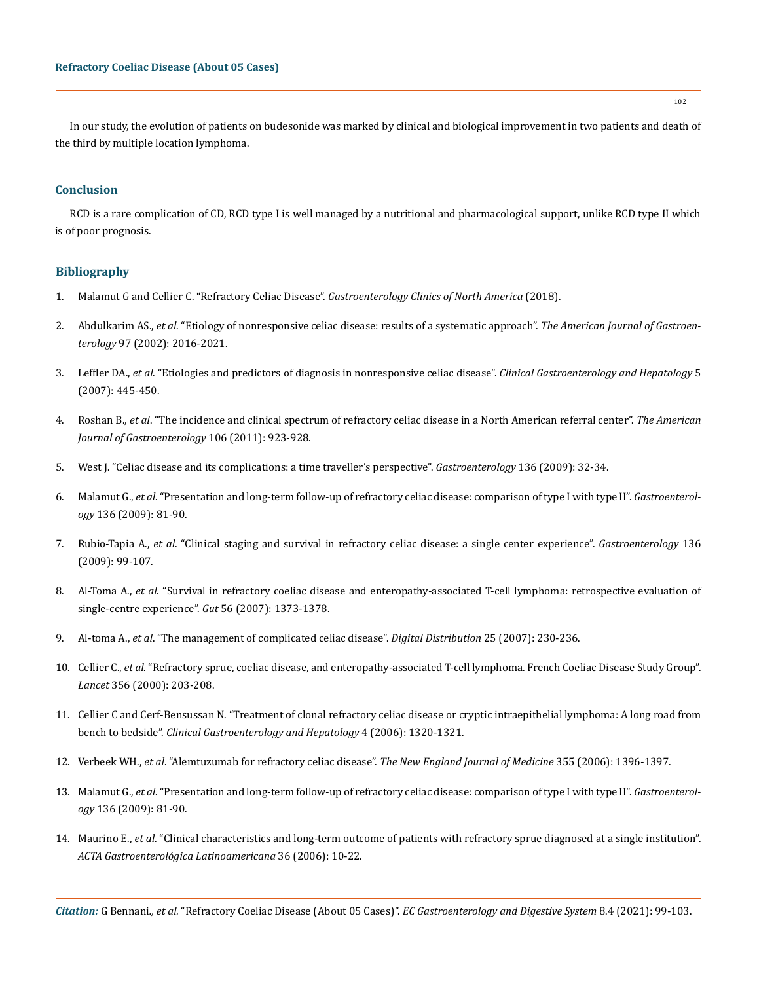In our study, the evolution of patients on budesonide was marked by clinical and biological improvement in two patients and death of the third by multiple location lymphoma.

## **Conclusion**

RCD is a rare complication of CD, RCD type I is well managed by a nutritional and pharmacological support, unlike RCD type II which is of poor prognosis.

# **Bibliography**

- 1. [Malamut G and Cellier C. "Refractory Celiac Disease".](https://pubmed.ncbi.nlm.nih.gov/30711206/) *Gastroenterology Clinics of North America* (2018).
- 2. Abdulkarim AS., *et al*[. "Etiology of nonresponsive celiac disease: results of a systematic approach".](https://pubmed.ncbi.nlm.nih.gov/12190170/) *The American Journal of Gastroenterology* [97 \(2002\): 2016-2021.](https://pubmed.ncbi.nlm.nih.gov/12190170/)
- 3. Leffler DA., *et al*[. "Etiologies and predictors of diagnosis in nonresponsive celiac disease".](https://www.cghjournal.org/article/S1542-3565(06)01296-1/pdf) *Clinical Gastroenterology and Hepatology* 5 [\(2007\): 445-450.](https://www.cghjournal.org/article/S1542-3565(06)01296-1/pdf)
- 4. Roshan B., *et al*[. "The incidence and clinical spectrum of refractory celiac disease in a North American referral center".](https://pubmed.ncbi.nlm.nih.gov/21468013/) *The American [Journal of Gastroenterology](https://pubmed.ncbi.nlm.nih.gov/21468013/)* 106 (2011): 923-928.
- 5. [West J. "Celiac disease and its complications: a time traveller's perspective".](https://pubmed.ncbi.nlm.nih.gov/19041868/) *Gastroenterology* 136 (2009): 32-34.
- 6. Malamut G., *et al*[. "Presentation and long-term follow-up of refractory celiac disease: comparison of type I with type II".](https://pubmed.ncbi.nlm.nih.gov/19014942/) *Gastroenterology* [136 \(2009\): 81-90.](https://pubmed.ncbi.nlm.nih.gov/19014942/)
- 7. Rubio-Tapia A., *et al*[. "Clinical staging and survival in refractory celiac disease: a single center experience".](https://pubmed.ncbi.nlm.nih.gov/18996383/) *Gastroenterology* 136 [\(2009\): 99-107.](https://pubmed.ncbi.nlm.nih.gov/18996383/)
- 8. Al-Toma A., *et al*[. "Survival in refractory coeliac disease and enteropathy-associated T-cell lymphoma: retrospective evaluation of](https://pubmed.ncbi.nlm.nih.gov/17470479/) [single-centre experience".](https://pubmed.ncbi.nlm.nih.gov/17470479/) *Gut* 56 (2007): 1373-1378.
- 9. Al-toma A., *et al*[. "The management of complicated celiac disease".](https://pubmed.ncbi.nlm.nih.gov/17827946/) *Digital Distribution* 25 (2007): 230-236.
- 10. Cellier C., *et al*[. "Refractory sprue, coeliac disease, and enteropathy-associated T-cell lymphoma. French Coeliac Disease Study Group".](https://pubmed.ncbi.nlm.nih.gov/10963198/) *Lancet* [356 \(2000\): 203-208.](https://pubmed.ncbi.nlm.nih.gov/10963198/)
- 11. [Cellier C and Cerf-Bensussan N. "Treatment of clonal refractory celiac disease or cryptic intraepithelial lymphoma: A long road from](https://pubmed.ncbi.nlm.nih.gov/17110301/) bench to bedside". *[Clinical Gastroenterology and Hepatology](https://pubmed.ncbi.nlm.nih.gov/17110301/)* 4 (2006): 1320-1321.
- 12. Verbeek WH., *et al*[. "Alemtuzumab for refractory celiac disease".](https://pubmed.ncbi.nlm.nih.gov/17005966/) *The New England Journal of Medicine* 355 (2006): 1396-1397.
- 13. Malamut G., *et al*[. "Presentation and long-term follow-up of refractory celiac disease: comparison of type I with type II".](https://pubmed.ncbi.nlm.nih.gov/19014942/) *Gastroenterology* [136 \(2009\): 81-90.](https://pubmed.ncbi.nlm.nih.gov/19014942/)
- 14. Maurino E., *et al*[. "Clinical characteristics and long-term outcome of patients with refractory sprue diagnosed at a single institution".](https://pubmed.ncbi.nlm.nih.gov/16706073/) *[ACTA Gastroenterológica Latinoamericana](https://pubmed.ncbi.nlm.nih.gov/16706073/)* 36 (2006): 10-22.

*Citation:* G Bennani*., et al.* "Refractory Coeliac Disease (About 05 Cases)". *EC Gastroenterology and Digestive System* 8.4 (2021): 99-103.

102